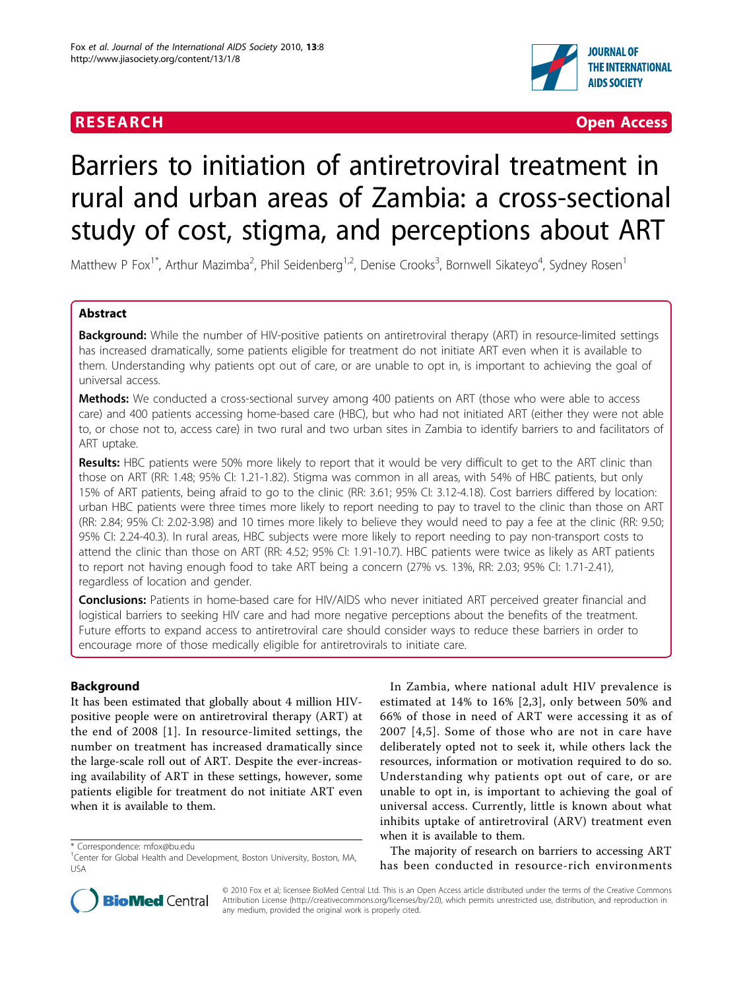# **RESEARCH CONTROL** CONTROL CONTROL CONTROL CONTROL CONTROL CONTROL CONTROL CONTROL CONTROL CONTROL CONTROL CONTROL CONTROL CONTROL CONTROL CONTROL CONTROL CONTROL CONTROL CONTROL CONTROL CONTROL CONTROL CONTROL CONTROL CON



# Barriers to initiation of antiretroviral treatment in rural and urban areas of Zambia: a cross-sectional study of cost, stigma, and perceptions about ART

Matthew P Fox<sup>1\*</sup>, Arthur Mazimba<sup>2</sup>, Phil Seidenberg<sup>1,2</sup>, Denise Crooks<sup>3</sup>, Bornwell Sikateyo<sup>4</sup>, Sydney Rosen<sup>1</sup>

# Abstract

**Background:** While the number of HIV-positive patients on antiretroviral therapy (ART) in resource-limited settings has increased dramatically, some patients eligible for treatment do not initiate ART even when it is available to them. Understanding why patients opt out of care, or are unable to opt in, is important to achieving the goal of universal access.

**Methods:** We conducted a cross-sectional survey among 400 patients on ART (those who were able to access care) and 400 patients accessing home-based care (HBC), but who had not initiated ART (either they were not able to, or chose not to, access care) in two rural and two urban sites in Zambia to identify barriers to and facilitators of ART uptake.

Results: HBC patients were 50% more likely to report that it would be very difficult to get to the ART clinic than those on ART (RR: 1.48; 95% CI: 1.21-1.82). Stigma was common in all areas, with 54% of HBC patients, but only 15% of ART patients, being afraid to go to the clinic (RR: 3.61; 95% CI: 3.12-4.18). Cost barriers differed by location: urban HBC patients were three times more likely to report needing to pay to travel to the clinic than those on ART (RR: 2.84; 95% CI: 2.02-3.98) and 10 times more likely to believe they would need to pay a fee at the clinic (RR: 9.50; 95% CI: 2.24-40.3). In rural areas, HBC subjects were more likely to report needing to pay non-transport costs to attend the clinic than those on ART (RR: 4.52; 95% CI: 1.91-10.7). HBC patients were twice as likely as ART patients to report not having enough food to take ART being a concern (27% vs. 13%, RR: 2.03; 95% CI: 1.71-2.41), regardless of location and gender.

**Conclusions:** Patients in home-based care for HIV/AIDS who never initiated ART perceived greater financial and logistical barriers to seeking HIV care and had more negative perceptions about the benefits of the treatment. Future efforts to expand access to antiretroviral care should consider ways to reduce these barriers in order to encourage more of those medically eligible for antiretrovirals to initiate care.

# Background

It has been estimated that globally about 4 million HIVpositive people were on antiretroviral therapy (ART) at the end of 2008 [[1](#page-9-0)]. In resource-limited settings, the number on treatment has increased dramatically since the large-scale roll out of ART. Despite the ever-increasing availability of ART in these settings, however, some patients eligible for treatment do not initiate ART even when it is available to them.

\* Correspondence: [mfox@bu.edu](mailto:mfox@bu.edu)

In Zambia, where national adult HIV prevalence is estimated at 14% to 16% [[2](#page-9-0),[3\]](#page-9-0), only between 50% and 66% of those in need of ART were accessing it as of 2007 [\[4,5\]](#page-9-0). Some of those who are not in care have deliberately opted not to seek it, while others lack the resources, information or motivation required to do so. Understanding why patients opt out of care, or are unable to opt in, is important to achieving the goal of universal access. Currently, little is known about what inhibits uptake of antiretroviral (ARV) treatment even when it is available to them.

The majority of research on barriers to accessing ART has been conducted in resource-rich environments



© 2010 Fox et al; licensee BioMed Central Ltd. This is an Open Access article distributed under the terms of the Creative Commons Attribution License [\(http://creativecommons.org/licenses/by/2.0](http://creativecommons.org/licenses/by/2.0)), which permits unrestricted use, distribution, and reproduction in any medium, provided the original work is properly cited.

<sup>&</sup>lt;sup>1</sup>Center for Global Health and Development, Boston University, Boston, MA, USA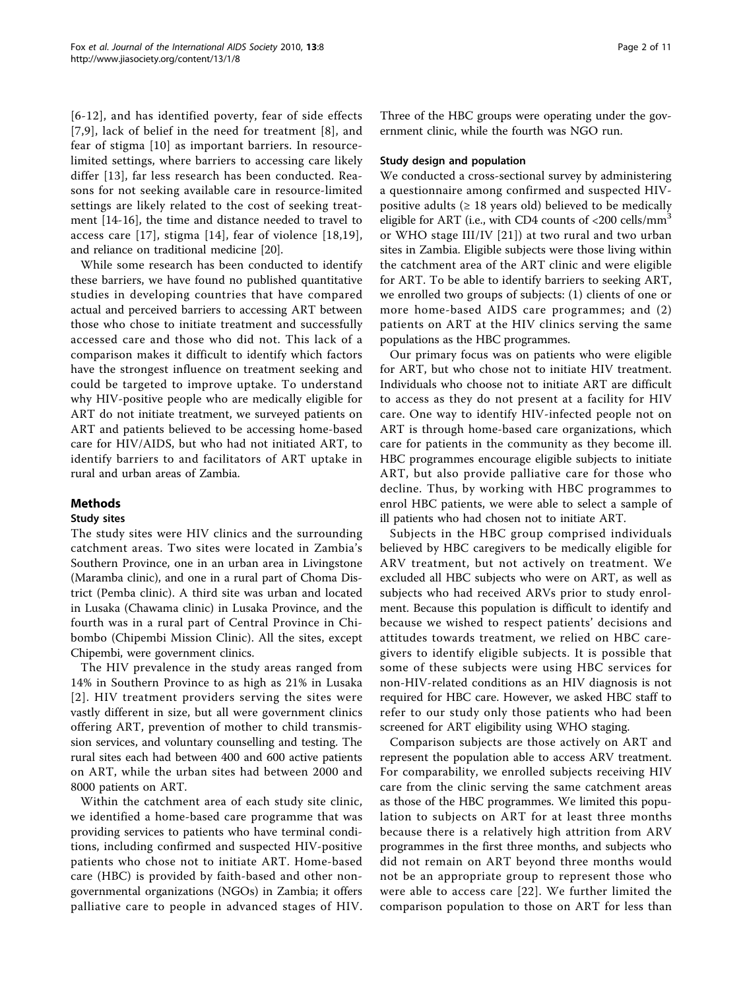[[6](#page-9-0)-[12\]](#page-9-0), and has identified poverty, fear of side effects [[7](#page-9-0),[9\]](#page-9-0), lack of belief in the need for treatment [[8\]](#page-9-0), and fear of stigma [\[10\]](#page-9-0) as important barriers. In resourcelimited settings, where barriers to accessing care likely differ [[13\]](#page-9-0), far less research has been conducted. Reasons for not seeking available care in resource-limited settings are likely related to the cost of seeking treatment [[14-16](#page-9-0)], the time and distance needed to travel to access care [[17](#page-9-0)], stigma [\[14\]](#page-9-0), fear of violence [[18](#page-9-0),[19\]](#page-9-0), and reliance on traditional medicine [\[20\]](#page-9-0).

While some research has been conducted to identify these barriers, we have found no published quantitative studies in developing countries that have compared actual and perceived barriers to accessing ART between those who chose to initiate treatment and successfully accessed care and those who did not. This lack of a comparison makes it difficult to identify which factors have the strongest influence on treatment seeking and could be targeted to improve uptake. To understand why HIV-positive people who are medically eligible for ART do not initiate treatment, we surveyed patients on ART and patients believed to be accessing home-based care for HIV/AIDS, but who had not initiated ART, to identify barriers to and facilitators of ART uptake in rural and urban areas of Zambia.

# Methods

# Study sites

The study sites were HIV clinics and the surrounding catchment areas. Two sites were located in Zambia's Southern Province, one in an urban area in Livingstone (Maramba clinic), and one in a rural part of Choma District (Pemba clinic). A third site was urban and located in Lusaka (Chawama clinic) in Lusaka Province, and the fourth was in a rural part of Central Province in Chibombo (Chipembi Mission Clinic). All the sites, except Chipembi, were government clinics.

The HIV prevalence in the study areas ranged from 14% in Southern Province to as high as 21% in Lusaka [[2\]](#page-9-0). HIV treatment providers serving the sites were vastly different in size, but all were government clinics offering ART, prevention of mother to child transmission services, and voluntary counselling and testing. The rural sites each had between 400 and 600 active patients on ART, while the urban sites had between 2000 and 8000 patients on ART.

Within the catchment area of each study site clinic, we identified a home-based care programme that was providing services to patients who have terminal conditions, including confirmed and suspected HIV-positive patients who chose not to initiate ART. Home-based care (HBC) is provided by faith-based and other nongovernmental organizations (NGOs) in Zambia; it offers palliative care to people in advanced stages of HIV.

Three of the HBC groups were operating under the government clinic, while the fourth was NGO run.

## Study design and population

We conducted a cross-sectional survey by administering a questionnaire among confirmed and suspected HIVpositive adults ( $\geq$  18 years old) believed to be medically eligible for ART (i.e., with CD4 counts of  $\langle 200 \text{ cells/mm}^3$ ) or WHO stage III/IV [[21](#page-10-0)]) at two rural and two urban sites in Zambia. Eligible subjects were those living within the catchment area of the ART clinic and were eligible for ART. To be able to identify barriers to seeking ART, we enrolled two groups of subjects: (1) clients of one or more home-based AIDS care programmes; and (2) patients on ART at the HIV clinics serving the same populations as the HBC programmes.

Our primary focus was on patients who were eligible for ART, but who chose not to initiate HIV treatment. Individuals who choose not to initiate ART are difficult to access as they do not present at a facility for HIV care. One way to identify HIV-infected people not on ART is through home-based care organizations, which care for patients in the community as they become ill. HBC programmes encourage eligible subjects to initiate ART, but also provide palliative care for those who decline. Thus, by working with HBC programmes to enrol HBC patients, we were able to select a sample of ill patients who had chosen not to initiate ART.

Subjects in the HBC group comprised individuals believed by HBC caregivers to be medically eligible for ARV treatment, but not actively on treatment. We excluded all HBC subjects who were on ART, as well as subjects who had received ARVs prior to study enrolment. Because this population is difficult to identify and because we wished to respect patients' decisions and attitudes towards treatment, we relied on HBC caregivers to identify eligible subjects. It is possible that some of these subjects were using HBC services for non-HIV-related conditions as an HIV diagnosis is not required for HBC care. However, we asked HBC staff to refer to our study only those patients who had been screened for ART eligibility using WHO staging.

Comparison subjects are those actively on ART and represent the population able to access ARV treatment. For comparability, we enrolled subjects receiving HIV care from the clinic serving the same catchment areas as those of the HBC programmes. We limited this population to subjects on ART for at least three months because there is a relatively high attrition from ARV programmes in the first three months, and subjects who did not remain on ART beyond three months would not be an appropriate group to represent those who were able to access care [[22\]](#page-10-0). We further limited the comparison population to those on ART for less than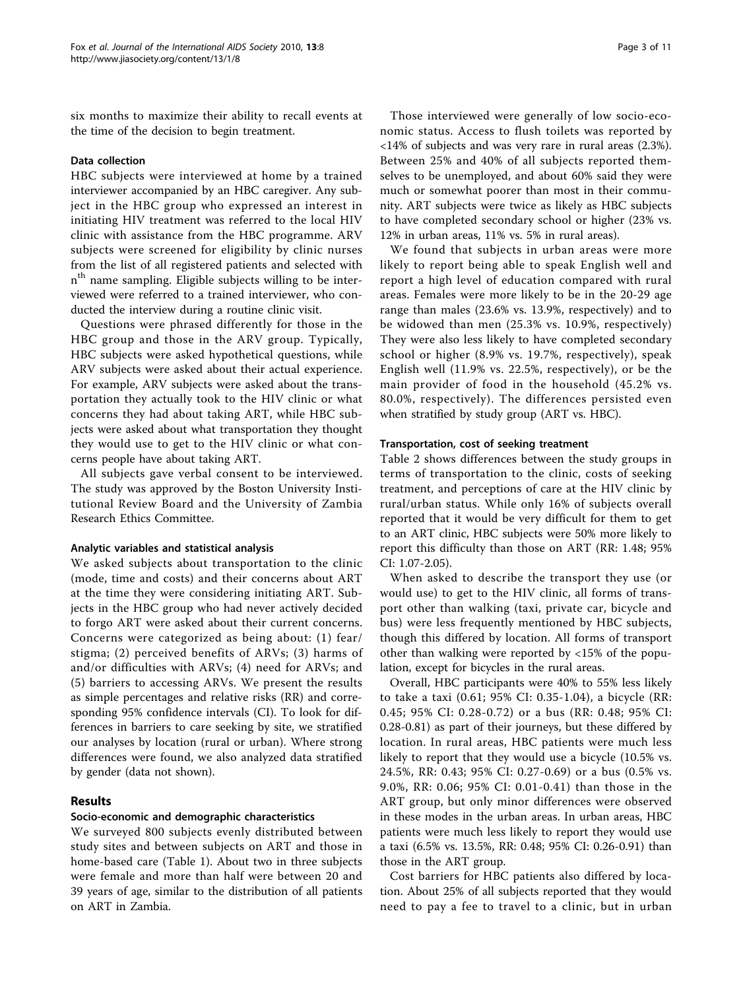six months to maximize their ability to recall events at the time of the decision to begin treatment.

## Data collection

HBC subjects were interviewed at home by a trained interviewer accompanied by an HBC caregiver. Any subject in the HBC group who expressed an interest in initiating HIV treatment was referred to the local HIV clinic with assistance from the HBC programme. ARV subjects were screened for eligibility by clinic nurses from the list of all registered patients and selected with n<sup>th</sup> name sampling. Eligible subjects willing to be interviewed were referred to a trained interviewer, who conducted the interview during a routine clinic visit.

Questions were phrased differently for those in the HBC group and those in the ARV group. Typically, HBC subjects were asked hypothetical questions, while ARV subjects were asked about their actual experience. For example, ARV subjects were asked about the transportation they actually took to the HIV clinic or what concerns they had about taking ART, while HBC subjects were asked about what transportation they thought they would use to get to the HIV clinic or what concerns people have about taking ART.

All subjects gave verbal consent to be interviewed. The study was approved by the Boston University Institutional Review Board and the University of Zambia Research Ethics Committee.

## Analytic variables and statistical analysis

We asked subjects about transportation to the clinic (mode, time and costs) and their concerns about ART at the time they were considering initiating ART. Subjects in the HBC group who had never actively decided to forgo ART were asked about their current concerns. Concerns were categorized as being about: (1) fear/ stigma; (2) perceived benefits of ARVs; (3) harms of and/or difficulties with ARVs; (4) need for ARVs; and (5) barriers to accessing ARVs. We present the results as simple percentages and relative risks (RR) and corresponding 95% confidence intervals (CI). To look for differences in barriers to care seeking by site, we stratified our analyses by location (rural or urban). Where strong differences were found, we also analyzed data stratified by gender (data not shown).

## Results

## Socio-economic and demographic characteristics

We surveyed 800 subjects evenly distributed between study sites and between subjects on ART and those in home-based care (Table [1](#page-3-0)). About two in three subjects were female and more than half were between 20 and 39 years of age, similar to the distribution of all patients on ART in Zambia.

Those interviewed were generally of low socio-economic status. Access to flush toilets was reported by <14% of subjects and was very rare in rural areas (2.3%). Between 25% and 40% of all subjects reported themselves to be unemployed, and about 60% said they were much or somewhat poorer than most in their community. ART subjects were twice as likely as HBC subjects to have completed secondary school or higher (23% vs. 12% in urban areas, 11% vs. 5% in rural areas).

We found that subjects in urban areas were more likely to report being able to speak English well and report a high level of education compared with rural areas. Females were more likely to be in the 20-29 age range than males (23.6% vs. 13.9%, respectively) and to be widowed than men (25.3% vs. 10.9%, respectively) They were also less likely to have completed secondary school or higher (8.9% vs. 19.7%, respectively), speak English well (11.9% vs. 22.5%, respectively), or be the main provider of food in the household (45.2% vs. 80.0%, respectively). The differences persisted even when stratified by study group (ART vs. HBC).

## Transportation, cost of seeking treatment

Table [2](#page-5-0) shows differences between the study groups in terms of transportation to the clinic, costs of seeking treatment, and perceptions of care at the HIV clinic by rural/urban status. While only 16% of subjects overall reported that it would be very difficult for them to get to an ART clinic, HBC subjects were 50% more likely to report this difficulty than those on ART (RR: 1.48; 95% CI: 1.07-2.05).

When asked to describe the transport they use (or would use) to get to the HIV clinic, all forms of transport other than walking (taxi, private car, bicycle and bus) were less frequently mentioned by HBC subjects, though this differed by location. All forms of transport other than walking were reported by <15% of the population, except for bicycles in the rural areas.

Overall, HBC participants were 40% to 55% less likely to take a taxi (0.61; 95% CI: 0.35-1.04), a bicycle (RR: 0.45; 95% CI: 0.28-0.72) or a bus (RR: 0.48; 95% CI: 0.28-0.81) as part of their journeys, but these differed by location. In rural areas, HBC patients were much less likely to report that they would use a bicycle (10.5% vs. 24.5%, RR: 0.43; 95% CI: 0.27-0.69) or a bus (0.5% vs. 9.0%, RR: 0.06; 95% CI: 0.01-0.41) than those in the ART group, but only minor differences were observed in these modes in the urban areas. In urban areas, HBC patients were much less likely to report they would use a taxi (6.5% vs. 13.5%, RR: 0.48; 95% CI: 0.26-0.91) than those in the ART group.

Cost barriers for HBC patients also differed by location. About 25% of all subjects reported that they would need to pay a fee to travel to a clinic, but in urban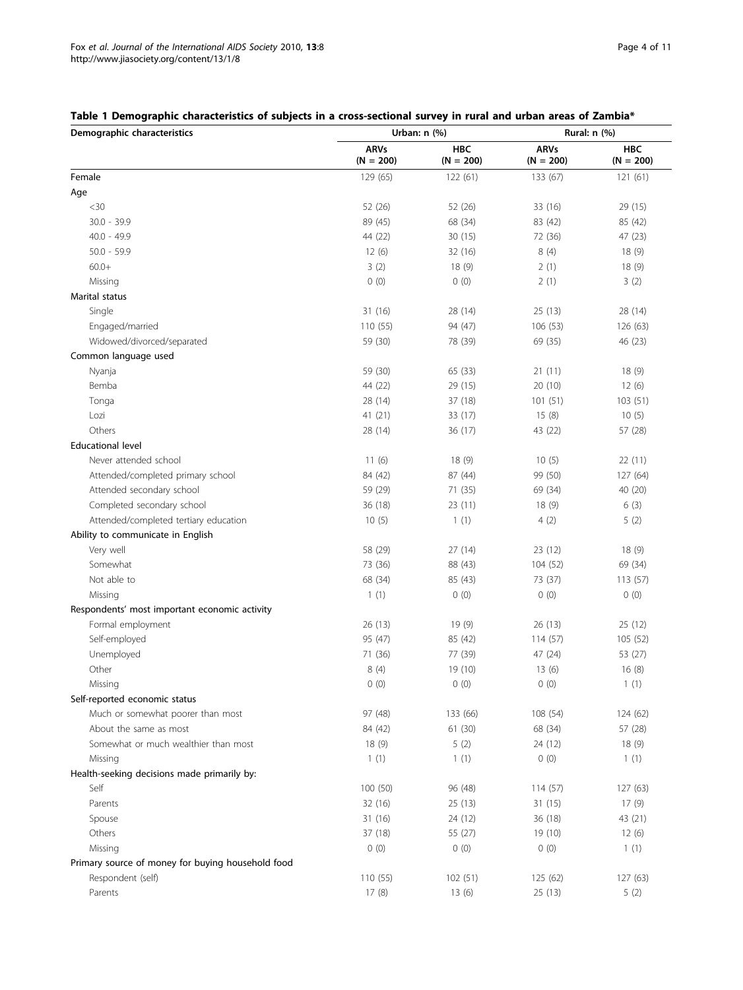# <span id="page-3-0"></span>Table 1 Demographic characteristics of subjects in a cross-sectional survey in rural and urban areas of Zambia\*

| Demographic characteristics                       |                            | Urban: $n$ $(\%)$         |                            | Rural: n (%)              |
|---------------------------------------------------|----------------------------|---------------------------|----------------------------|---------------------------|
|                                                   | <b>ARVs</b><br>$(N = 200)$ | <b>HBC</b><br>$(N = 200)$ | <b>ARVs</b><br>$(N = 200)$ | <b>HBC</b><br>$(N = 200)$ |
| Female                                            | 129 (65)                   | 122(61)                   | 133 (67)                   | 121(61)                   |
| Age                                               |                            |                           |                            |                           |
| $<$ 30                                            | 52 (26)                    | 52 (26)                   | 33 (16)                    | 29 (15)                   |
| $30.0 - 39.9$                                     | 89 (45)                    | 68 (34)                   | 83 (42)                    | 85 (42)                   |
| $40.0 - 49.9$                                     | 44 (22)                    | 30(15)                    | 72 (36)                    | 47 (23)                   |
| $50.0 - 59.9$                                     | 12(6)                      | 32 (16)                   | 8(4)                       | 18(9)                     |
| $60.0+$                                           | 3(2)                       | 18(9)                     | 2(1)                       | 18(9)                     |
| Missing                                           | 0(0)                       | 0(0)                      | 2(1)                       | 3(2)                      |
| Marital status                                    |                            |                           |                            |                           |
| Single                                            | 31 (16)                    | 28 (14)                   | 25(13)                     | 28 (14)                   |
| Engaged/married                                   | 110(55)                    | 94 (47)                   | 106 (53)                   | 126(63)                   |
| Widowed/divorced/separated                        | 59 (30)                    | 78 (39)                   | 69 (35)                    | 46 (23)                   |
| Common language used                              |                            |                           |                            |                           |
| Nyanja                                            | 59 (30)                    | 65 (33)                   | 21(11)                     | 18(9)                     |
| Bemba                                             | 44 (22)                    | 29 (15)                   | 20(10)                     | 12(6)                     |
| Tonga                                             | 28 (14)                    | 37 (18)                   | 101(51)                    | 103(51)                   |
| Lozi                                              | 41 (21)                    | 33 (17)                   | 15(8)                      | 10(5)                     |
| Others                                            | 28 (14)                    | 36 (17)                   | 43 (22)                    | 57 (28)                   |
| <b>Educational level</b>                          |                            |                           |                            |                           |
| Never attended school                             | 11(6)                      | 18 (9)                    | 10(5)                      | 22 (11)                   |
| Attended/completed primary school                 | 84 (42)                    | 87 (44)                   | 99 (50)                    | 127 (64)                  |
| Attended secondary school                         | 59 (29)                    | 71 (35)                   | 69 (34)                    | 40 (20)                   |
| Completed secondary school                        | 36 (18)                    | 23 (11)                   | 18(9)                      | 6(3)                      |
| Attended/completed tertiary education             | 10(5)                      | 1(1)                      | 4(2)                       | 5(2)                      |
| Ability to communicate in English                 |                            |                           |                            |                           |
| Very well                                         | 58 (29)                    | 27 (14)                   | 23 (12)                    | 18(9)                     |
| Somewhat                                          | 73 (36)                    | 88 (43)                   | 104 (52)                   | 69 (34)                   |
| Not able to                                       | 68 (34)                    | 85 (43)                   | 73 (37)                    | 113 (57)                  |
| Missing                                           | 1(1)                       | 0(0)                      | 0(0)                       | 0(0)                      |
| Respondents' most important economic activity     |                            |                           |                            |                           |
| Formal employment                                 | 26 (13)                    | 19 (9)                    | 26 (13)                    | 25 (12)                   |
| Self-employed                                     | 95 (47)                    | 85 (42)                   | 114(57)                    | 105 (52)                  |
| Unemployed                                        | 71 (36)                    | 77 (39)                   | 47 (24)                    | 53 (27)                   |
| Other                                             | 8(4)                       | 19 (10)                   | 13(6)                      | 16(8)                     |
| Missing                                           | 0(0)                       | 0(0)                      | 0(0)                       | 1(1)                      |
| Self-reported economic status                     |                            |                           |                            |                           |
| Much or somewhat poorer than most                 | 97 (48)                    | 133 (66)                  | 108 (54)                   | 124 (62)                  |
| About the same as most                            | 84 (42)                    | 61(30)                    | 68 (34)                    | 57 (28)                   |
| Somewhat or much wealthier than most              | 18(9)                      | 5(2)                      | 24 (12)                    | 18(9)                     |
| Missing                                           | 1(1)                       | 1(1)                      | 0(0)                       | 1(1)                      |
| Health-seeking decisions made primarily by:       |                            |                           |                            |                           |
| Self                                              | 100 (50)                   | 96 (48)                   | 114(57)                    | 127 (63)                  |
| Parents                                           | 32(16)                     | 25(13)                    | 31(15)                     | 17(9)                     |
| Spouse                                            | 31(16)                     | 24 (12)                   | 36 (18)                    | 43 (21)                   |
| Others                                            | 37 (18)                    | 55 (27)                   | 19 (10)                    | 12(6)                     |
| Missing                                           | 0(0)                       | 0(0)                      | 0(0)                       | 1(1)                      |
| Primary source of money for buying household food |                            |                           |                            |                           |
| Respondent (self)                                 | 110 (55)                   | 102 (51)                  | 125 (62)                   | 127 (63)                  |
| Parents                                           | 17(8)                      | 13(6)                     | 25(13)                     | 5(2)                      |
|                                                   |                            |                           |                            |                           |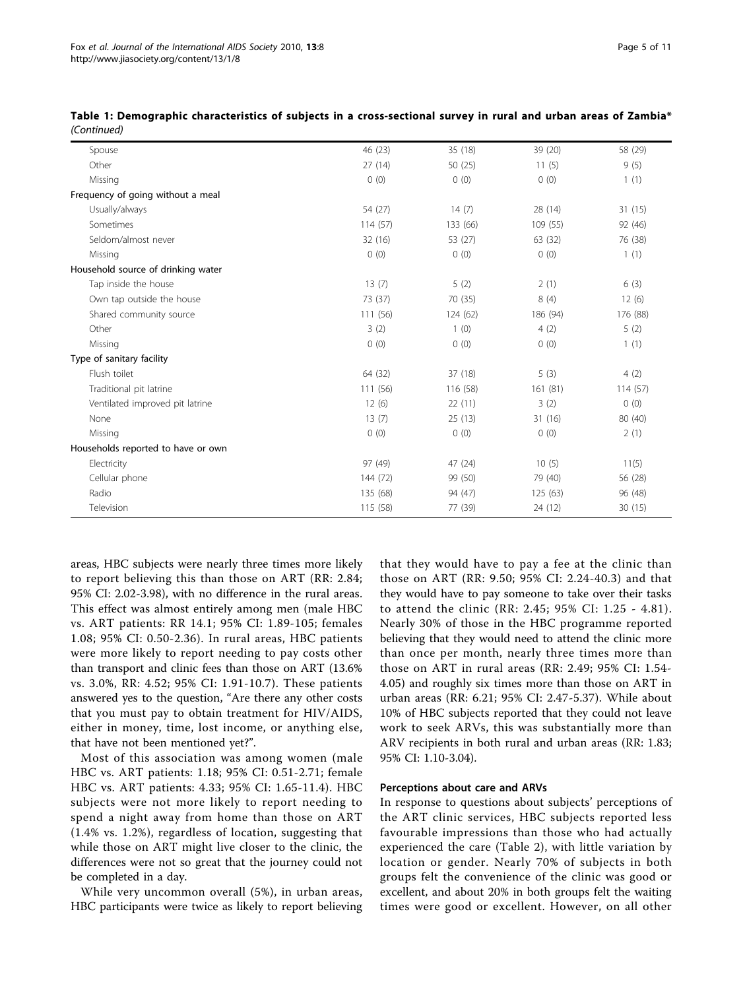| Spouse                             | 46 (23)  | 35 (18)  | 39 (20)  | 58 (29)  |
|------------------------------------|----------|----------|----------|----------|
| Other                              | 27 (14)  | 50(25)   | 11(5)    | 9(5)     |
| Missing                            | 0(0)     | 0(0)     | 0(0)     | 1(1)     |
| Frequency of going without a meal  |          |          |          |          |
| Usually/always                     | 54 (27)  | 14(7)    | 28 (14)  | 31(15)   |
| Sometimes                          | 114(57)  | 133 (66) | 109 (55) | 92 (46)  |
| Seldom/almost never                | 32 (16)  | 53 (27)  | 63 (32)  | 76 (38)  |
| Missing                            | 0(0)     | 0(0)     | 0(0)     | 1(1)     |
| Household source of drinking water |          |          |          |          |
| Tap inside the house               | 13(7)    | 5(2)     | 2(1)     | 6(3)     |
| Own tap outside the house          | 73 (37)  | 70 (35)  | 8(4)     | 12(6)    |
| Shared community source            | 111 (56) | 124(62)  | 186 (94) | 176 (88) |
| Other                              | 3(2)     | 1(0)     | 4(2)     | 5(2)     |
| Missing                            | 0(0)     | 0(0)     | 0(0)     | 1(1)     |
| Type of sanitary facility          |          |          |          |          |
| Flush toilet                       | 64 (32)  | 37 (18)  | 5(3)     | 4(2)     |
| Traditional pit latrine            | 111 (56) | 116 (58) | 161(81)  | 114(57)  |
| Ventilated improved pit latrine    | 12(6)    | 22 (11)  | 3(2)     | 0(0)     |
| None                               | 13(7)    | 25(13)   | 31 (16)  | 80 (40)  |
| Missing                            | 0(0)     | 0(0)     | 0(0)     | 2(1)     |
| Households reported to have or own |          |          |          |          |
| Electricity                        | 97 (49)  | 47 (24)  | 10(5)    | 11(5)    |
| Cellular phone                     | 144 (72) | 99 (50)  | 79 (40)  | 56 (28)  |
| Radio                              | 135 (68) | 94 (47)  | 125 (63) | 96 (48)  |
| Television                         | 115 (58) | 77 (39)  | 24 (12)  | 30(15)   |
|                                    |          |          |          |          |

Table 1: Demographic characteristics of subjects in a cross-sectional survey in rural and urban areas of Zambia\* (Continued)

areas, HBC subjects were nearly three times more likely to report believing this than those on ART (RR: 2.84; 95% CI: 2.02-3.98), with no difference in the rural areas. This effect was almost entirely among men (male HBC vs. ART patients: RR 14.1; 95% CI: 1.89-105; females 1.08; 95% CI: 0.50-2.36). In rural areas, HBC patients were more likely to report needing to pay costs other than transport and clinic fees than those on ART (13.6% vs. 3.0%, RR: 4.52; 95% CI: 1.91-10.7). These patients answered yes to the question, "Are there any other costs that you must pay to obtain treatment for HIV/AIDS, either in money, time, lost income, or anything else, that have not been mentioned yet?".

Most of this association was among women (male HBC vs. ART patients: 1.18; 95% CI: 0.51-2.71; female HBC vs. ART patients: 4.33; 95% CI: 1.65-11.4). HBC subjects were not more likely to report needing to spend a night away from home than those on ART (1.4% vs. 1.2%), regardless of location, suggesting that while those on ART might live closer to the clinic, the differences were not so great that the journey could not be completed in a day.

While very uncommon overall (5%), in urban areas, HBC participants were twice as likely to report believing

that they would have to pay a fee at the clinic than those on ART (RR: 9.50; 95% CI: 2.24-40.3) and that they would have to pay someone to take over their tasks to attend the clinic (RR: 2.45; 95% CI: 1.25 - 4.81). Nearly 30% of those in the HBC programme reported believing that they would need to attend the clinic more than once per month, nearly three times more than those on ART in rural areas (RR: 2.49; 95% CI: 1.54- 4.05) and roughly six times more than those on ART in urban areas (RR: 6.21; 95% CI: 2.47-5.37). While about 10% of HBC subjects reported that they could not leave work to seek ARVs, this was substantially more than ARV recipients in both rural and urban areas (RR: 1.83; 95% CI: 1.10-3.04).

## Perceptions about care and ARVs

In response to questions about subjects' perceptions of the ART clinic services, HBC subjects reported less favourable impressions than those who had actually experienced the care (Table [2](#page-5-0)), with little variation by location or gender. Nearly 70% of subjects in both groups felt the convenience of the clinic was good or excellent, and about 20% in both groups felt the waiting times were good or excellent. However, on all other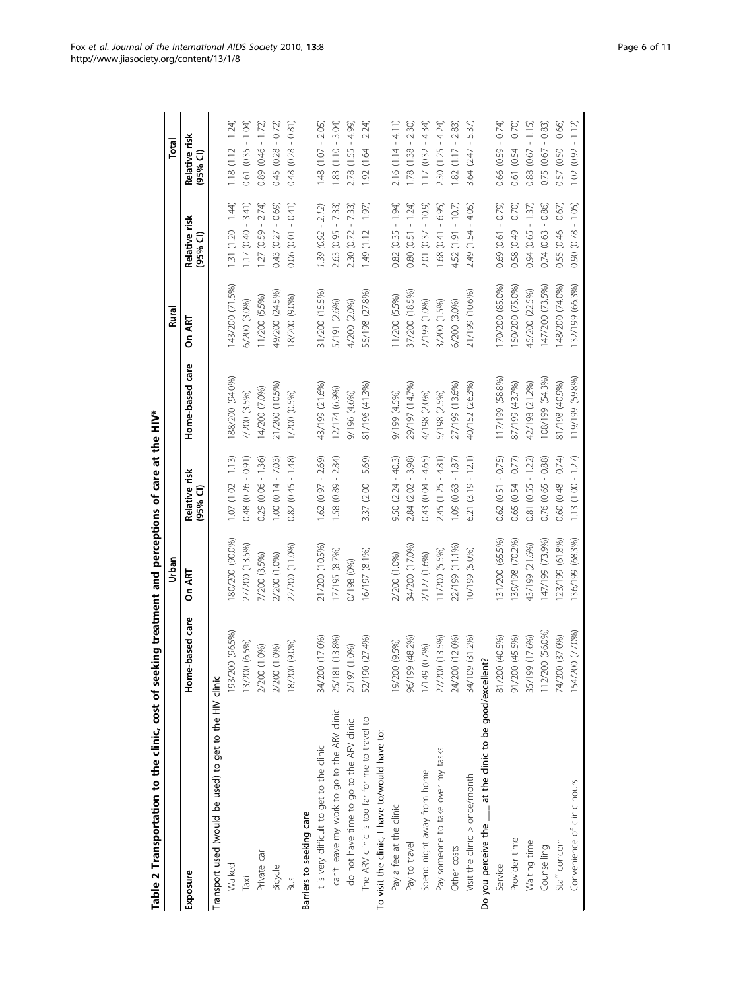<span id="page-5-0"></span>

|                                                              |                   | Urban           |                                  |                 | Rural           |                            | Total                      |
|--------------------------------------------------------------|-------------------|-----------------|----------------------------------|-----------------|-----------------|----------------------------|----------------------------|
| Exposure                                                     | Home-based care   | On ART          | Relative risk<br>595%            | Home-based care | On ART          | Relative risk<br>$(95%$ CI | Relative risk<br>$(95%$ CI |
| Transport used (would be used) to get to the HIV clinic      |                   |                 |                                  |                 |                 |                            |                            |
| Walked                                                       | 193/200 (96.5%)   | (90.09) 002/08  | $1.07(1.02 - 1.13)$              | 88/200 (94.0%)  | 143/200 (71.5%) | $1.31(1.20 - 1.44)$        | $1.18(1.12 - 1.24)$        |
| Taxi                                                         | (6.5%)<br>13/200  | 27/200 (13.5%)  | $0.48$ $(0.26 - 0.91)$           | 7/200 (3.5%)    | 6/200 (3.0%)    | $1.17(0.40 - 3.41)$        | $0.61(0.35 - 1.04)$        |
| Private car                                                  | 2/200 (1.0%)      | 7/200 (3.5%)    | $0.29$ $(0.06 - 1.36)$           | 14/200 (7.0%)   | 11/200 (5.5%)   | $127(0.59 - 2.74)$         | $0.89(0.46 - 1.72)$        |
| Bicycle                                                      | (1.0%)<br>2/200 ( | 2/200 (1.0%)    | $1.00(0.14 - 7.03)$              | 21/200 (10.5%)  | 49/200 (24.5%)  | $0.43(0.27 - 0.69)$        | $0.45(0.28 - 0.72)$        |
| <b>Bus</b>                                                   | (9.0%<br>18/200   | 22/200 (11.0%)  | $0.82(0.45 - 1.48)$              | 1/200 (0.5%)    | 18/200 (9.0%)   | $0.06(0.01 - 0.41)$        | $0.48(0.28 - 0.81)$        |
| Barriers to seeking care                                     |                   |                 |                                  |                 |                 |                            |                            |
| It is very difficult to get to the clinic                    | 34/200 (17.0%)    | 21/200 (10.5%)  | $1.62(0.97 - 2.69)$              | 43/199 (21.6%)  | 31/200 (15.5%)  | $1.39(0.92 - 2.12)$        | $1.48(1.07 - 2.05)$        |
| I can't leave my work to go to the ARV clinic                | 25/181 (13.8%)    | 17/195 (8.7%)   | $1.58(0.89 - 2.84)$              | 12/174 (6.9%)   | 5/191 (2.6%)    | 2.63 (0.95 - 7.33)         | $1.83(1.10 - 3.04)$        |
| I do not have time to go to the ARV clinic                   | 2/197 (1.0%)      | 0/198 (0%)      |                                  | 9/196 (4.6%)    | 4/200 (2.0%)    | $2.30(0.72 - 7.33)$        | $2.78(1.55 - 4.99)$        |
| The ARV clinic is too far for me to travel to                | (27.4%)<br>52/190 | 16/197 (8.1%)   | $3.37$ $(2.00 - 5.69)$           | 81/196 (41.3%)  | 55/198 (27.8%)  | 1.49 (1.12 - 1.97)         | $1.92(1.64 - 2.24)$        |
| To visit the clinic, I have to/would have to:                |                   |                 |                                  |                 |                 |                            |                            |
| Pay a fee at the clinic                                      | (9.5%)<br>19/200  | 2/200 (1.0%)    | $9.50$ $(2.24 - 40.3)$           | 9/199 (4.5%)    | 11/200 (5.5%)   | $0.82(0.35 - 1.94)$        | $2.16(1.14 - 4.11)$        |
| Pay to travel                                                | 96/199 (48.2%)    | 34/200 (17.0%)  | 2.84 (2.02 - 3.98)               | 29/197 (14.7%)  | 37/200 (18.5%)  | $0.80(0.51 - 1.24)$        | $1.78(1.38 - 2.30)$        |
| Spend night away from home                                   | 1/149 (0.7%)      | 2/127 (1.6%)    | $0.43(0.04 - 4.65)$              | 4/198 (2.0%)    | 2/199 (1.0%)    | $2.01 (0.37 - 10.9)$       | $1.17(0.32 - 4.34)$        |
| Pay someone to take over my tasks                            | 27/200 (13.5%)    | 11/200 (5.5%)   | $2.45(1.25 - 4.81)$              | 5/198 (2.5%)    | 3/200 (1.5%)    | $1.68$ $(0.41 - 6.95)$     | $2.30(1.25 - 4.24)$        |
| Other costs                                                  | 24/200 (12.0%)    | 22/199 (11.1%)  | $(0.63 - 1.87)$<br>$\frac{1}{2}$ | 27/199 (13.6%)  | 6/200 (3.0%)    | $4.52(1.91 - 10.7)$        | $1.82(1.17 - 2.83)$        |
| Visit the clinic > once/month                                | 34/109 (31.2%)    | 10/199 (5.0%)   | $6.21(3.19 - 12.1)$              | 40/152 (26.3%)  | 21/199 (10.6%)  | 2.49 (1.54 - 4.05)         | $3.64$ $(2.47 - 5.37)$     |
| Do you perceive the ____ at the clinic to be good/excellent? |                   |                 |                                  |                 |                 |                            |                            |
| Service                                                      | 81/200 (40.5%)    | 131/200 (65.5%) | $0.62$ $(0.51 - 0.75)$           | 117/199 (58.8%) | 170/200 (85.0%) | 0.69 (0.61 - 0.79)         | $0.66$ $(0.59 - 0.74)$     |
| Provider time                                                | 91/200 (45.5%)    | 139/198 (70.2%) | $0.65(0.54 - 0.77)$              | 87/199 (43.7%)  | 50/200 (75.0%)  | $0.58(0.49 - 0.70)$        | $0.61(0.54 - 0.70)$        |
| Waiting time                                                 | 35/199 (17.6%)    | 43/199 (21.6%)  | $0.81(0.55 - 1.22)$              | 42/198 (21.2%)  | 45/200 (22.5%)  | $0.94(0.65 - 1.37)$        | $0.88$ (0.67 - 1.15)       |
| Counselling                                                  | 112/200 (56.0%)   | 147/199 (73.9%) | $0.76$ $(0.65 - 0.88)$           | 08/199 (54.3%)  | 147/200 (73.5%) | $0.74(0.63 - 0.86)$        | $0.75(0.67 - 0.83)$        |
| Staff concern                                                | (37.0%)<br>74/200 | 123/199 (61.8%) | $0.60(0.48 - 0.74)$              | 81/198 (40.9%)  | 148/200 (74.0%) | $0.55(0.46 - 0.67)$        | $0.57(0.50 - 0.66)$        |
| Convenience of clinic hours                                  | 154/200 (77.0%)   | 136/199 (68.3%) | $1.13(1.00 - 1.27)$              | 119/199 (59.8%) | 132/199 (66.3%) | $0.90(0.78 - 1.05)$        | $1.02(0.92 - 1.12)$        |

Table 2 Transportation to the clinic, cost of seeking treatment and perceptions of care at the HIV\* Table 2 Transportation to the clinic, cost of seeking treatment and perceptions of care at the HIV\*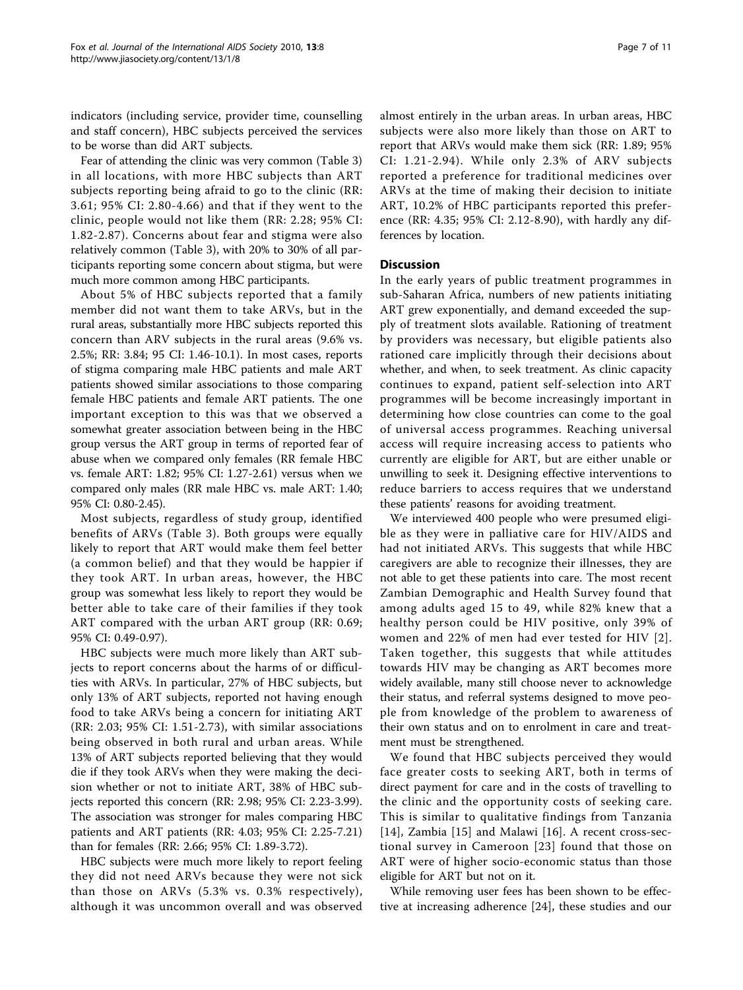indicators (including service, provider time, counselling and staff concern), HBC subjects perceived the services to be worse than did ART subjects.

Fear of attending the clinic was very common (Table [3](#page-7-0)) in all locations, with more HBC subjects than ART subjects reporting being afraid to go to the clinic (RR: 3.61; 95% CI: 2.80-4.66) and that if they went to the clinic, people would not like them (RR: 2.28; 95% CI: 1.82-2.87). Concerns about fear and stigma were also relatively common (Table [3](#page-7-0)), with 20% to 30% of all participants reporting some concern about stigma, but were much more common among HBC participants.

About 5% of HBC subjects reported that a family member did not want them to take ARVs, but in the rural areas, substantially more HBC subjects reported this concern than ARV subjects in the rural areas (9.6% vs. 2.5%; RR: 3.84; 95 CI: 1.46-10.1). In most cases, reports of stigma comparing male HBC patients and male ART patients showed similar associations to those comparing female HBC patients and female ART patients. The one important exception to this was that we observed a somewhat greater association between being in the HBC group versus the ART group in terms of reported fear of abuse when we compared only females (RR female HBC vs. female ART: 1.82; 95% CI: 1.27-2.61) versus when we compared only males (RR male HBC vs. male ART: 1.40; 95% CI: 0.80-2.45).

Most subjects, regardless of study group, identified benefits of ARVs (Table [3](#page-7-0)). Both groups were equally likely to report that ART would make them feel better (a common belief) and that they would be happier if they took ART. In urban areas, however, the HBC group was somewhat less likely to report they would be better able to take care of their families if they took ART compared with the urban ART group (RR: 0.69; 95% CI: 0.49-0.97).

HBC subjects were much more likely than ART subjects to report concerns about the harms of or difficulties with ARVs. In particular, 27% of HBC subjects, but only 13% of ART subjects, reported not having enough food to take ARVs being a concern for initiating ART (RR: 2.03; 95% CI: 1.51-2.73), with similar associations being observed in both rural and urban areas. While 13% of ART subjects reported believing that they would die if they took ARVs when they were making the decision whether or not to initiate ART, 38% of HBC subjects reported this concern (RR: 2.98; 95% CI: 2.23-3.99). The association was stronger for males comparing HBC patients and ART patients (RR: 4.03; 95% CI: 2.25-7.21) than for females (RR: 2.66; 95% CI: 1.89-3.72).

HBC subjects were much more likely to report feeling they did not need ARVs because they were not sick than those on ARVs (5.3% vs. 0.3% respectively), although it was uncommon overall and was observed almost entirely in the urban areas. In urban areas, HBC subjects were also more likely than those on ART to report that ARVs would make them sick (RR: 1.89; 95% CI: 1.21-2.94). While only 2.3% of ARV subjects reported a preference for traditional medicines over ARVs at the time of making their decision to initiate ART, 10.2% of HBC participants reported this preference (RR: 4.35; 95% CI: 2.12-8.90), with hardly any differences by location.

# **Discussion**

In the early years of public treatment programmes in sub-Saharan Africa, numbers of new patients initiating ART grew exponentially, and demand exceeded the supply of treatment slots available. Rationing of treatment by providers was necessary, but eligible patients also rationed care implicitly through their decisions about whether, and when, to seek treatment. As clinic capacity continues to expand, patient self-selection into ART programmes will be become increasingly important in determining how close countries can come to the goal of universal access programmes. Reaching universal access will require increasing access to patients who currently are eligible for ART, but are either unable or unwilling to seek it. Designing effective interventions to reduce barriers to access requires that we understand these patients' reasons for avoiding treatment.

We interviewed 400 people who were presumed eligible as they were in palliative care for HIV/AIDS and had not initiated ARVs. This suggests that while HBC caregivers are able to recognize their illnesses, they are not able to get these patients into care. The most recent Zambian Demographic and Health Survey found that among adults aged 15 to 49, while 82% knew that a healthy person could be HIV positive, only 39% of women and 22% of men had ever tested for HIV [[2\]](#page-9-0). Taken together, this suggests that while attitudes towards HIV may be changing as ART becomes more widely available, many still choose never to acknowledge their status, and referral systems designed to move people from knowledge of the problem to awareness of their own status and on to enrolment in care and treatment must be strengthened.

We found that HBC subjects perceived they would face greater costs to seeking ART, both in terms of direct payment for care and in the costs of travelling to the clinic and the opportunity costs of seeking care. This is similar to qualitative findings from Tanzania [[14](#page-9-0)], Zambia [\[15](#page-9-0)] and Malawi [[16](#page-9-0)]. A recent cross-sectional survey in Cameroon [[23](#page-10-0)] found that those on ART were of higher socio-economic status than those eligible for ART but not on it.

While removing user fees has been shown to be effective at increasing adherence [\[24](#page-10-0)], these studies and our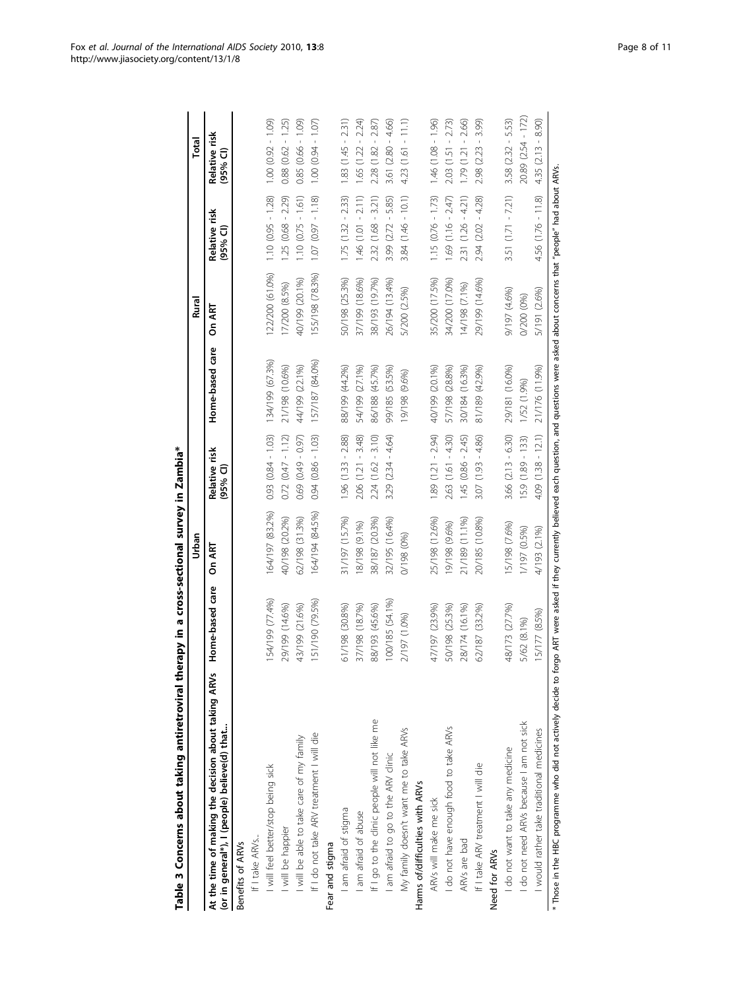<span id="page-7-0"></span>

|                                                                                                                                                                                                 |                 | Urban           |                          |                 | Rural           |                           | Total                    |
|-------------------------------------------------------------------------------------------------------------------------------------------------------------------------------------------------|-----------------|-----------------|--------------------------|-----------------|-----------------|---------------------------|--------------------------|
| At the time of making the decision about taking ARVs<br>(or in general*), I (people) believe(d) that                                                                                            | Home-based care | On ART          | Relative risk<br>(95% CI | Home-based care | On ART          | Relative risk<br>(95% CI) | Relative risk<br>(95% CI |
| Benefits of ARVs                                                                                                                                                                                |                 |                 |                          |                 |                 |                           |                          |
| If I take ARVs                                                                                                                                                                                  |                 |                 |                          |                 |                 |                           |                          |
| I will feel better/stop being sick                                                                                                                                                              | 154/199 (77.4%) | 164/197 (83.2%) | $0.93$ $(0.84 - 1.03)$   | 134/199 (67.3%) | 122/200 (61.0%) | $1.10(0.95 - 1.28)$       | $(60.1 - 26.0)$ 0.0.1    |
| I will be happier                                                                                                                                                                               | 29/199 (14.6%)  | 40/198 (20.2%)  | $0.72(0.47 - 1.12)$      | 21/198 (10.6%)  | 17/200 (8.5%)   | $1.25(0.68 - 2.29)$       | $0.88$ $(0.62 - 1.25)$   |
| I will be able to take care of my family                                                                                                                                                        | 43/199 (21.6%)  | 62/198 (31.3%)  | $(0.69)(0.49 - 0.97)$    | 44/199 (22.1%)  | 40/199 (20.1%)  | $1.10(0.75 - 1.61)$       | $0.85(0.66 - 1.09)$      |
| If I do not take ARV treatment I will die                                                                                                                                                       | 151/190 (79.5%) | 164/194 (84.5%) | $0.94(0.86 - 1.03)$      | 157/187 (84.0%) | 155/198 (78.3%) | $(81.1 - 190)$ (0.97      | $1.00(0.94 - 1.07)$      |
| Fear and stigma                                                                                                                                                                                 |                 |                 |                          |                 |                 |                           |                          |
| I am afraid of stigma                                                                                                                                                                           | 61/198 (30.8%)  | 31/197 (15.7%)  | $1.96(1.33 - 2.88)$      | 88/199 (44.2%)  | 50/198 (25.3%)  | $1.75(1.32 - 2.33)$       | $1.83(1.45 - 2.31)$      |
| I am afraid of abuse                                                                                                                                                                            | 37/198 (18.7%)  | 18/198 (9.1%)   | $2.06$ $(1.21 - 3.48)$   | 54/199 (27.1%)  | 37/199 (18.6%)  | $1.46(1.01 - 2.11)$       | $1.65(1.22 - 2.24)$      |
| If I go to the clinic people will not like me                                                                                                                                                   | 88/193 (45.6%)  | 38/187 (20.3%)  | $2.24(1.62 - 3.10)$      | 86/188 (45.7%)  | 38/193 (19.7%)  | $2.32(1.68 - 3.21)$       | $2.28(1.82 - 2.87)$      |
| I am afraid to go to the ARV clinic                                                                                                                                                             | 100/185 (54.1%) | 32/195 (16.4%)  | $3.29(2.34 - 4.64)$      | 99/185 (53.5%)  | 26/194 (13.4%)  | $3.99(2.72 - 5.85)$       | $3.61(2.80 - 4.66)$      |
| My family doesn't want me to take ARVs                                                                                                                                                          | 2/197 (1.0%)    | 0/198 (0%)      |                          | (9696) 861/61   | 5/200 (2.5%)    | $3.84(1.46 - 10.1)$       | $4.23(1.61 - 11.1)$      |
| Harms of/difficulties with ARVs                                                                                                                                                                 |                 |                 |                          |                 |                 |                           |                          |
| ARVs will make me sick                                                                                                                                                                          | 47/197 (23.9%)  | 25/198 (12.6%)  | $1.89(1.21 - 2.94)$      | 40/199 (20.1%)  | 35/200 (17.5%)  | $1.15(0.76 - 1.73)$       | $1.46(1.08 - 1.96)$      |
| I do not have enough food to take ARVs                                                                                                                                                          | 50/198 (25.3%)  | 19/198 (9.6%)   | $2.63(1.61 - 4.30)$      | 57/198 (28.8%)  | 34/200 (17.0%)  | $1.69(1.16 - 2.47)$       | $2.03$ (1.51 - 2.73)     |
| ARVs are bad                                                                                                                                                                                    | 28/174 (16.1%)  | 21/189 (11.1%)  | $1.45(0.86 - 2.45)$      | 30/184 (16.3%)  | 14/198 (7.1%)   | $2.31(1.26 - 4.21)$       | $1.79(1.21 - 2.66)$      |
| If I take ARV treatment I will die                                                                                                                                                              | 62/187 (33.2%)  | 20/185 (10.8%)  | $3.07(1.93 - 4.86)$      | 81/189 (42.9%)  | 29/199 (14.6%)  | $2.94(2.02 - 4.28)$       | 3.99)<br>$2.98(2.23 -$   |
| Need for ARVs                                                                                                                                                                                   |                 |                 |                          |                 |                 |                           |                          |
| I do not want to take any medicine                                                                                                                                                              | 48/173 (27.7%)  | 15/198 (7.6%)   | $3.66$ $(2.13 - 6.30)$   | 29/181 (16.0%)  | 9/197 (4.6%)    | $3.51(1.71 - 7.21)$       | $3.58$ $(2.32 - 5.53)$   |
| I do not need ARVs because I am not sick                                                                                                                                                        | 5/62 (8.1%)     | 1/197 (0.5%)    | $15.9(1.89 - 133)$       | 1/52 (1.9%)     | 0/200 (0%)      |                           | 20.89 (2.54 - 172)       |
| I would rather take traditional medicines                                                                                                                                                       | 15/177 (8.5%)   | 4/193 (2.1%)    | $4.09(1.38 - 12.1)$      | 21/176 (11.9%)  | 5/191 (2.6%)    | $4.56(1.76 - 11.8)$       | $4.35(2.13 - 8.90)$      |
| * Those in the HBC programme who did not actively decide to forgo ART were asked if they currently believed each question, and questions were asked about concerns that "people" had about ARVs |                 |                 |                          |                 |                 |                           |                          |

Table 3 Concerns about taking antiretroviral therapy in a cross-sectional survey in Zambia\* Table 3 Concerns about taking antiretroviral therapy in a cross-sectional survey in Zambia\*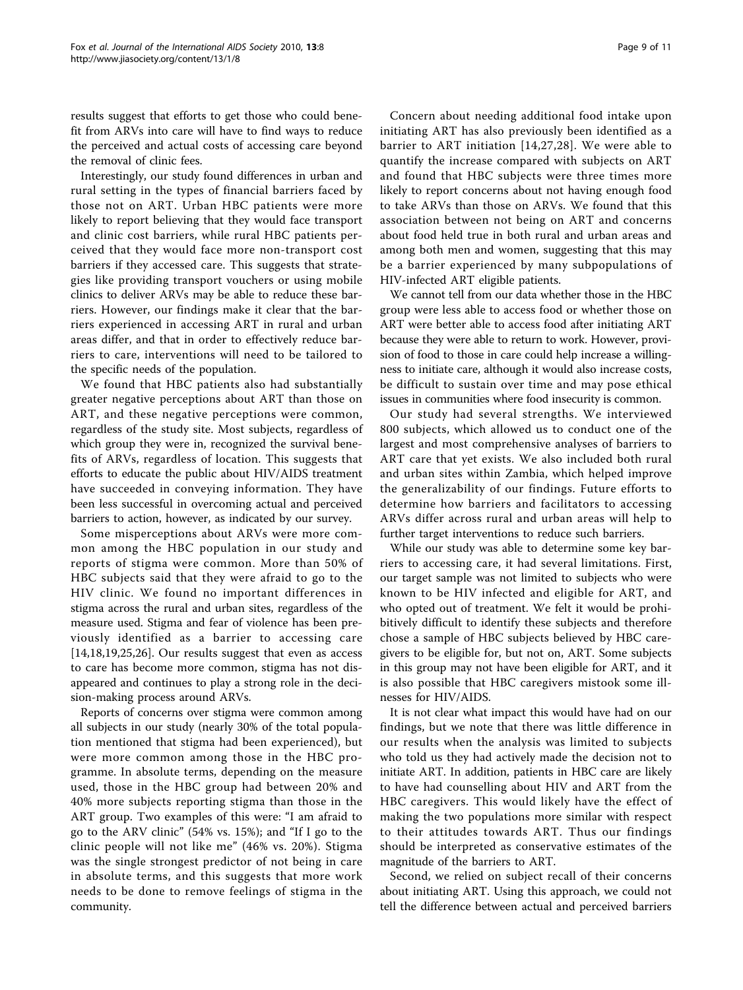results suggest that efforts to get those who could benefit from ARVs into care will have to find ways to reduce the perceived and actual costs of accessing care beyond the removal of clinic fees.

Interestingly, our study found differences in urban and rural setting in the types of financial barriers faced by those not on ART. Urban HBC patients were more likely to report believing that they would face transport and clinic cost barriers, while rural HBC patients perceived that they would face more non-transport cost barriers if they accessed care. This suggests that strategies like providing transport vouchers or using mobile clinics to deliver ARVs may be able to reduce these barriers. However, our findings make it clear that the barriers experienced in accessing ART in rural and urban areas differ, and that in order to effectively reduce barriers to care, interventions will need to be tailored to the specific needs of the population.

We found that HBC patients also had substantially greater negative perceptions about ART than those on ART, and these negative perceptions were common, regardless of the study site. Most subjects, regardless of which group they were in, recognized the survival benefits of ARVs, regardless of location. This suggests that efforts to educate the public about HIV/AIDS treatment have succeeded in conveying information. They have been less successful in overcoming actual and perceived barriers to action, however, as indicated by our survey.

Some misperceptions about ARVs were more common among the HBC population in our study and reports of stigma were common. More than 50% of HBC subjects said that they were afraid to go to the HIV clinic. We found no important differences in stigma across the rural and urban sites, regardless of the measure used. Stigma and fear of violence has been previously identified as a barrier to accessing care [[14,18,19](#page-9-0)[,25](#page-10-0),[26](#page-10-0)]. Our results suggest that even as access to care has become more common, stigma has not disappeared and continues to play a strong role in the decision-making process around ARVs.

Reports of concerns over stigma were common among all subjects in our study (nearly 30% of the total population mentioned that stigma had been experienced), but were more common among those in the HBC programme. In absolute terms, depending on the measure used, those in the HBC group had between 20% and 40% more subjects reporting stigma than those in the ART group. Two examples of this were: "I am afraid to go to the ARV clinic" (54% vs. 15%); and "If I go to the clinic people will not like me" (46% vs. 20%). Stigma was the single strongest predictor of not being in care in absolute terms, and this suggests that more work needs to be done to remove feelings of stigma in the community.

Concern about needing additional food intake upon initiating ART has also previously been identified as a barrier to ART initiation [[14](#page-9-0),[27](#page-10-0),[28\]](#page-10-0). We were able to quantify the increase compared with subjects on ART and found that HBC subjects were three times more likely to report concerns about not having enough food to take ARVs than those on ARVs. We found that this association between not being on ART and concerns about food held true in both rural and urban areas and among both men and women, suggesting that this may be a barrier experienced by many subpopulations of HIV-infected ART eligible patients.

We cannot tell from our data whether those in the HBC group were less able to access food or whether those on ART were better able to access food after initiating ART because they were able to return to work. However, provision of food to those in care could help increase a willingness to initiate care, although it would also increase costs, be difficult to sustain over time and may pose ethical issues in communities where food insecurity is common.

Our study had several strengths. We interviewed 800 subjects, which allowed us to conduct one of the largest and most comprehensive analyses of barriers to ART care that yet exists. We also included both rural and urban sites within Zambia, which helped improve the generalizability of our findings. Future efforts to determine how barriers and facilitators to accessing ARVs differ across rural and urban areas will help to further target interventions to reduce such barriers.

While our study was able to determine some key barriers to accessing care, it had several limitations. First, our target sample was not limited to subjects who were known to be HIV infected and eligible for ART, and who opted out of treatment. We felt it would be prohibitively difficult to identify these subjects and therefore chose a sample of HBC subjects believed by HBC caregivers to be eligible for, but not on, ART. Some subjects in this group may not have been eligible for ART, and it is also possible that HBC caregivers mistook some illnesses for HIV/AIDS.

It is not clear what impact this would have had on our findings, but we note that there was little difference in our results when the analysis was limited to subjects who told us they had actively made the decision not to initiate ART. In addition, patients in HBC care are likely to have had counselling about HIV and ART from the HBC caregivers. This would likely have the effect of making the two populations more similar with respect to their attitudes towards ART. Thus our findings should be interpreted as conservative estimates of the magnitude of the barriers to ART.

Second, we relied on subject recall of their concerns about initiating ART. Using this approach, we could not tell the difference between actual and perceived barriers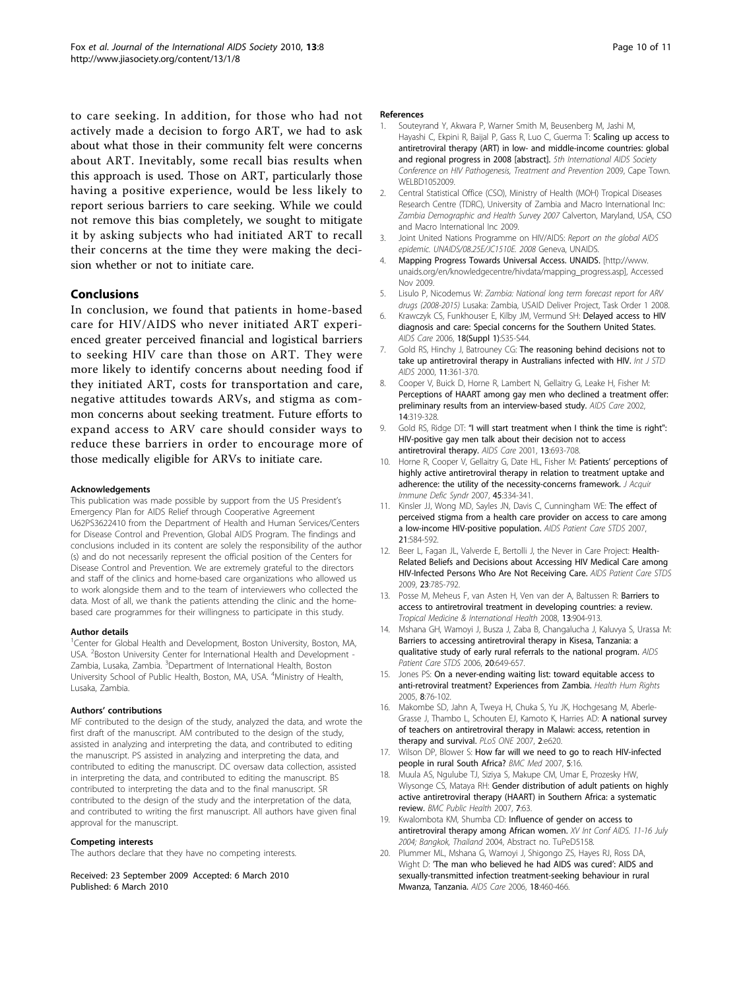<span id="page-9-0"></span>to care seeking. In addition, for those who had not actively made a decision to forgo ART, we had to ask about what those in their community felt were concerns about ART. Inevitably, some recall bias results when this approach is used. Those on ART, particularly those having a positive experience, would be less likely to report serious barriers to care seeking. While we could not remove this bias completely, we sought to mitigate it by asking subjects who had initiated ART to recall their concerns at the time they were making the decision whether or not to initiate care.

# Conclusions

In conclusion, we found that patients in home-based care for HIV/AIDS who never initiated ART experienced greater perceived financial and logistical barriers to seeking HIV care than those on ART. They were more likely to identify concerns about needing food if they initiated ART, costs for transportation and care, negative attitudes towards ARVs, and stigma as common concerns about seeking treatment. Future efforts to expand access to ARV care should consider ways to reduce these barriers in order to encourage more of those medically eligible for ARVs to initiate care.

## Acknowledgements

This publication was made possible by support from the US President's Emergency Plan for AIDS Relief through Cooperative Agreement U62PS3622410 from the Department of Health and Human Services/Centers for Disease Control and Prevention, Global AIDS Program. The findings and conclusions included in its content are solely the responsibility of the author (s) and do not necessarily represent the official position of the Centers for Disease Control and Prevention. We are extremely grateful to the directors and staff of the clinics and home-based care organizations who allowed us to work alongside them and to the team of interviewers who collected the data. Most of all, we thank the patients attending the clinic and the homebased care programmes for their willingness to participate in this study.

## Author details

<sup>1</sup>Center for Global Health and Development, Boston University, Boston, MA, USA. <sup>2</sup> Boston University Center for International Health and Development -Zambia, Lusaka, Zambia. <sup>3</sup>Department of International Health, Boston University School of Public Health, Boston, MA, USA. <sup>4</sup>Ministry of Health, Lusaka, Zambia.

### Authors' contributions

MF contributed to the design of the study, analyzed the data, and wrote the first draft of the manuscript. AM contributed to the design of the study, assisted in analyzing and interpreting the data, and contributed to editing the manuscript. PS assisted in analyzing and interpreting the data, and contributed to editing the manuscript. DC oversaw data collection, assisted in interpreting the data, and contributed to editing the manuscript. BS contributed to interpreting the data and to the final manuscript. SR contributed to the design of the study and the interpretation of the data, and contributed to writing the first manuscript. All authors have given final approval for the manuscript.

## Competing interests

The authors declare that they have no competing interests.

Received: 23 September 2009 Accepted: 6 March 2010 Published: 6 March 2010

## References

- 1. Souteyrand Y, Akwara P, Warner Smith M, Beusenberg M, Jashi M, Hayashi C, Ekpini R, Baijal P, Gass R, Luo C, Guerma T: Scaling up access to antiretroviral therapy (ART) in low- and middle-income countries: global and regional progress in 2008 [abstract]. 5th International AIDS Society Conference on HIV Pathogenesis, Treatment and Prevention 2009, Cape Town. **WELBD1052009**
- 2. Central Statistical Office (CSO), Ministry of Health (MOH) Tropical Diseases Research Centre (TDRC), University of Zambia and Macro International Inc: Zambia Demographic and Health Survey 2007 Calverton, Maryland, USA, CSO and Macro International Inc 2009.
- 3. Joint United Nations Programme on HIV/AIDS: Report on the global AIDS epidemic. UNAIDS/08.25E/JC1510E. 2008 Geneva, UNAIDS.
- Mapping Progress Towards Universal Access. UNAIDS. [[http://www.](http://www.unaids.org/en/knowledgecentre/hivdata/mapping_progress.asp) [unaids.org/en/knowledgecentre/hivdata/mapping\\_progress.asp](http://www.unaids.org/en/knowledgecentre/hivdata/mapping_progress.asp)], Accessed Nov 2009.
- 5. Lisulo P, Nicodemus W: Zambia: National long term forecast report for ARV drugs (2008-2015) Lusaka: Zambia, USAID Deliver Project, Task Order 1 2008.
- 6. Krawczyk CS, Funkhouser E, Kilby JM, Vermund SH: [Delayed access to HIV](http://www.ncbi.nlm.nih.gov/pubmed/16938673?dopt=Abstract) [diagnosis and care: Special concerns for the Southern United States.](http://www.ncbi.nlm.nih.gov/pubmed/16938673?dopt=Abstract) AIDS Care 2006, 18(Suppl 1):S35-S44.
- 7. Gold RS, Hinchy J, Batrouney CG: [The reasoning behind decisions not to](http://www.ncbi.nlm.nih.gov/pubmed/10872908?dopt=Abstract) [take up antiretroviral therapy in Australians infected with HIV.](http://www.ncbi.nlm.nih.gov/pubmed/10872908?dopt=Abstract) Int J STD AIDS 2000, 11:361-370.
- 8. Cooper V, Buick D, Horne R, Lambert N, Gellaitry G, Leake H, Fisher M: [Perceptions of HAART among gay men who declined a treatment offer:](http://www.ncbi.nlm.nih.gov/pubmed/12042077?dopt=Abstract) [preliminary results from an interview-based study.](http://www.ncbi.nlm.nih.gov/pubmed/12042077?dopt=Abstract) AIDS Care 2002, 14:319-328.
- 9. Gold RS, Ridge DT: "[I will start treatment when I think the time is right":](http://www.ncbi.nlm.nih.gov/pubmed/11720640?dopt=Abstract) [HIV-positive gay men talk about their decision not to access](http://www.ncbi.nlm.nih.gov/pubmed/11720640?dopt=Abstract) [antiretroviral therapy.](http://www.ncbi.nlm.nih.gov/pubmed/11720640?dopt=Abstract) AIDS Care 2001, 13:693-708.
- 10. Horne R, Cooper V, Gellaitry G, Date HL, Fisher M: Patients' [perceptions of](http://www.ncbi.nlm.nih.gov/pubmed/17514019?dopt=Abstract) [highly active antiretroviral therapy in relation to treatment uptake and](http://www.ncbi.nlm.nih.gov/pubmed/17514019?dopt=Abstract) [adherence: the utility of the necessity-concerns framework.](http://www.ncbi.nlm.nih.gov/pubmed/17514019?dopt=Abstract) J Acquir Immune Defic Syndr 2007, 45:334-341.
- 11. Kinsler JJ, Wong MD, Sayles JN, Davis C, Cunningham WE: [The effect of](http://www.ncbi.nlm.nih.gov/pubmed/17711383?dopt=Abstract) [perceived stigma from a health care provider on access to care among](http://www.ncbi.nlm.nih.gov/pubmed/17711383?dopt=Abstract) [a low-income HIV-positive population.](http://www.ncbi.nlm.nih.gov/pubmed/17711383?dopt=Abstract) AIDS Patient Care STDS 2007, 21:584-592.
- 12. Beer L, Fagan JL, Valverde E, Bertolli J, the Never in Care Project: [Health-](http://www.ncbi.nlm.nih.gov/pubmed/19645620?dopt=Abstract)[Related Beliefs and Decisions about Accessing HIV Medical Care among](http://www.ncbi.nlm.nih.gov/pubmed/19645620?dopt=Abstract) [HIV-Infected Persons Who Are Not Receiving Care.](http://www.ncbi.nlm.nih.gov/pubmed/19645620?dopt=Abstract) AIDS Patient Care STDS 2009, 23:785-792.
- 13. Posse M, Meheus F, van Asten H, Ven van der A, Baltussen R: Barriers to access to antiretroviral treatment in developing countries: a review. Tropical Medicine & International Health 2008, 13:904-913.
- 14. Mshana GH, Wamoyi J, Busza J, Zaba B, Changalucha J, Kaluvya S, Urassa M: [Barriers to accessing antiretroviral therapy in Kisesa, Tanzania: a](http://www.ncbi.nlm.nih.gov/pubmed/16987051?dopt=Abstract) [qualitative study of early rural referrals to the national program.](http://www.ncbi.nlm.nih.gov/pubmed/16987051?dopt=Abstract) AIDS Patient Care STDS 2006, 20:649-657.
- 15. Jones PS: [On a never-ending waiting list: toward equitable access to](http://www.ncbi.nlm.nih.gov/pubmed/17136904?dopt=Abstract) [anti-retroviral treatment? Experiences from Zambia.](http://www.ncbi.nlm.nih.gov/pubmed/17136904?dopt=Abstract) Health Hum Rights 2005, 8:76-102.
- 16. Makombe SD, Jahn A, Tweya H, Chuka S, Yu JK, Hochgesang M, Aberle-Grasse J, Thambo L, Schouten EJ, Kamoto K, Harries AD: [A national survey](http://www.ncbi.nlm.nih.gov/pubmed/17637836?dopt=Abstract) [of teachers on antiretroviral therapy in Malawi: access, retention in](http://www.ncbi.nlm.nih.gov/pubmed/17637836?dopt=Abstract) [therapy and survival.](http://www.ncbi.nlm.nih.gov/pubmed/17637836?dopt=Abstract) PLoS ONE 2007, 2:e620.
- 17. Wilson DP, Blower S: [How far will we need to go to reach HIV-infected](http://www.ncbi.nlm.nih.gov/pubmed/17577418?dopt=Abstract) [people in rural South Africa?](http://www.ncbi.nlm.nih.gov/pubmed/17577418?dopt=Abstract) BMC Med 2007, 5:16.
- 18. Muula AS, Ngulube TJ, Siziya S, Makupe CM, Umar E, Prozesky HW, Wiysonge CS, Mataya RH: [Gender distribution of adult patients on highly](http://www.ncbi.nlm.nih.gov/pubmed/17459154?dopt=Abstract) [active antiretroviral therapy \(HAART\) in Southern Africa: a systematic](http://www.ncbi.nlm.nih.gov/pubmed/17459154?dopt=Abstract) [review.](http://www.ncbi.nlm.nih.gov/pubmed/17459154?dopt=Abstract) BMC Public Health 2007, 7:63.
- 19. Kwalombota KM, Shumba CD: Influence of gender on access to antiretroviral therapy among African women. XV Int Conf AIDS. 11-16 July 2004; Bangkok, Thailand 2004, Abstract no. TuPeD5158.
- 20. Plummer ML, Mshana G, Wamoyi J, Shigongo ZS, Hayes RJ, Ross DA, Wight D: '[The man who believed he had AIDS was cured](http://www.ncbi.nlm.nih.gov/pubmed/16777638?dopt=Abstract)': AIDS and [sexually-transmitted infection treatment-seeking behaviour in rural](http://www.ncbi.nlm.nih.gov/pubmed/16777638?dopt=Abstract) [Mwanza, Tanzania.](http://www.ncbi.nlm.nih.gov/pubmed/16777638?dopt=Abstract) AIDS Care 2006, 18:460-466.